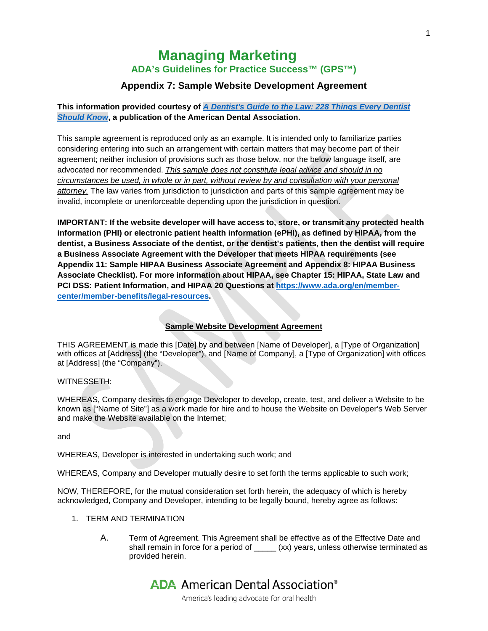# **Managing Marketing ADA's Guidelines for Practice Success™ (GPS™)**

# **Appendix 7: Sample Website Development Agreement**

# **This information provided courtesy of** *[A Dentist's Guide to the Law: 228 Things Every Dentist](http://ebusiness.ada.org/productcatalog/404/Managing%20Your%20Practice/L756)  [Should Know](http://ebusiness.ada.org/productcatalog/404/Managing%20Your%20Practice/L756)***, a publication of the American Dental Association.**

This sample agreement is reproduced only as an example. It is intended only to familiarize parties considering entering into such an arrangement with certain matters that may become part of their agreement; neither inclusion of provisions such as those below, nor the below language itself, are advocated nor recommended. *This sample does not constitute legal advice and should in no circumstances be used, in whole or in part, without review by and consultation with your personal attorney.* The law varies from jurisdiction to jurisdiction and parts of this sample agreement may be invalid, incomplete or unenforceable depending upon the jurisdiction in question.

**IMPORTANT: If the website developer will have access to, store, or transmit any protected health information (PHI) or electronic patient health information (ePHI), as defined by HIPAA, from the dentist, a Business Associate of the dentist, or the dentist's patients, then the dentist will require a Business Associate Agreement with the Developer that meets HIPAA requirements (see Appendix 11: Sample HIPAA Business Associate Agreement and Appendix 8: HIPAA Business Associate Checklist). For more information about HIPAA, see Chapter 15: HIPAA, State Law and PCI DSS: Patient Information, and HIPAA 20 Questions at [https://www.ada.org/en/member](https://www.ada.org/en/member-center/member-benefits/legal-resources)[center/member-benefits/legal-resources.](https://www.ada.org/en/member-center/member-benefits/legal-resources)** 

## **Sample Website Development Agreement**

THIS AGREEMENT is made this [Date] by and between [Name of Developer], a [Type of Organization] with offices at [Address] (the "Developer"), and [Name of Company], a [Type of Organization] with offices at [Address] (the "Company").

#### WITNESSETH:

WHEREAS, Company desires to engage Developer to develop, create, test, and deliver a Website to be known as ["Name of Site"] as a work made for hire and to house the Website on Developer's Web Server and make the Website available on the Internet;

and

WHEREAS, Developer is interested in undertaking such work; and

WHEREAS, Company and Developer mutually desire to set forth the terms applicable to such work;

NOW, THEREFORE, for the mutual consideration set forth herein, the adequacy of which is hereby acknowledged, Company and Developer, intending to be legally bound, hereby agree as follows:

- 1. TERM AND TERMINATION
	- A. Term of Agreement. This Agreement shall be effective as of the Effective Date and shall remain in force for a period of \_\_\_\_\_ (xx) years, unless otherwise terminated as provided herein.

# **ADA** American Dental Association<sup>®</sup>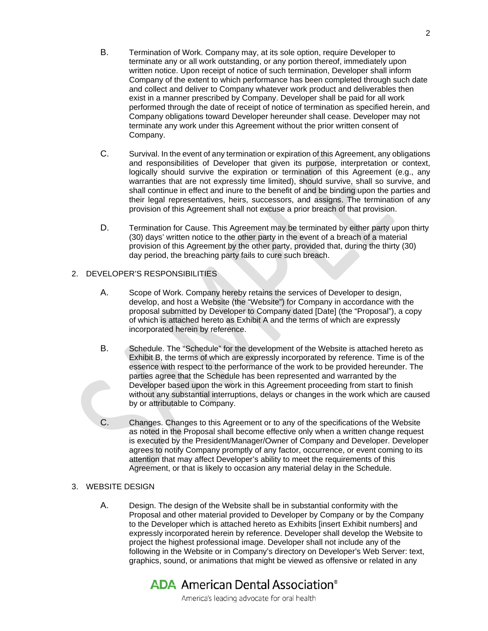- B. Termination of Work. Company may, at its sole option, require Developer to terminate any or all work outstanding, or any portion thereof, immediately upon written notice. Upon receipt of notice of such termination, Developer shall inform Company of the extent to which performance has been completed through such date and collect and deliver to Company whatever work product and deliverables then exist in a manner prescribed by Company. Developer shall be paid for all work performed through the date of receipt of notice of termination as specified herein, and Company obligations toward Developer hereunder shall cease. Developer may not terminate any work under this Agreement without the prior written consent of Company.
- C. Survival. In the event of any termination or expiration of this Agreement, any obligations and responsibilities of Developer that given its purpose, interpretation or context, logically should survive the expiration or termination of this Agreement (e.g., any warranties that are not expressly time limited), should survive, shall so survive, and shall continue in effect and inure to the benefit of and be binding upon the parties and their legal representatives, heirs, successors, and assigns. The termination of any provision of this Agreement shall not excuse a prior breach of that provision.
- D. Termination for Cause. This Agreement may be terminated by either party upon thirty (30) days' written notice to the other party in the event of a breach of a material provision of this Agreement by the other party, provided that, during the thirty (30) day period, the breaching party fails to cure such breach.

### 2. DEVELOPER'S RESPONSIBILITIES

- A. Scope of Work. Company hereby retains the services of Developer to design, develop, and host a Website (the "Website") for Company in accordance with the proposal submitted by Developer to Company dated [Date] (the "Proposal"), a copy of which is attached hereto as Exhibit A and the terms of which are expressly incorporated herein by reference.
- B. Schedule. The "Schedule" for the development of the Website is attached hereto as Exhibit B, the terms of which are expressly incorporated by reference. Time is of the essence with respect to the performance of the work to be provided hereunder. The parties agree that the Schedule has been represented and warranted by the Developer based upon the work in this Agreement proceeding from start to finish without any substantial interruptions, delays or changes in the work which are caused by or attributable to Company.
- C. Changes. Changes to this Agreement or to any of the specifications of the Website as noted in the Proposal shall become effective only when a written change request is executed by the President/Manager/Owner of Company and Developer. Developer agrees to notify Company promptly of any factor, occurrence, or event coming to its attention that may affect Developer's ability to meet the requirements of this Agreement, or that is likely to occasion any material delay in the Schedule.

## 3. WEBSITE DESIGN

A. Design. The design of the Website shall be in substantial conformity with the Proposal and other material provided to Developer by Company or by the Company to the Developer which is attached hereto as Exhibits [insert Exhibit numbers] and expressly incorporated herein by reference. Developer shall develop the Website to project the highest professional image. Developer shall not include any of the following in the Website or in Company's directory on Developer's Web Server: text, graphics, sound, or animations that might be viewed as offensive or related in any

# **ADA** American Dental Association<sup>®</sup>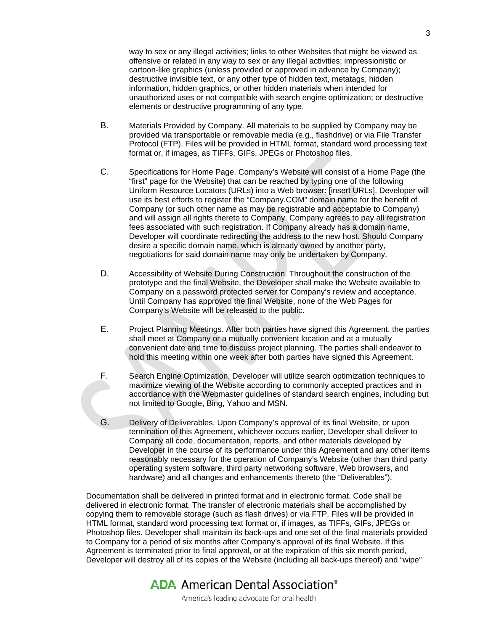way to sex or any illegal activities; links to other Websites that might be viewed as offensive or related in any way to sex or any illegal activities; impressionistic or cartoon-like graphics (unless provided or approved in advance by Company); destructive invisible text, or any other type of hidden text, metatags, hidden information, hidden graphics, or other hidden materials when intended for unauthorized uses or not compatible with search engine optimization; or destructive elements or destructive programming of any type.

- B. Materials Provided by Company. All materials to be supplied by Company may be provided via transportable or removable media (e.g., flashdrive) or via File Transfer Protocol (FTP). Files will be provided in HTML format, standard word processing text format or, if images, as TIFFs, GIFs, JPEGs or Photoshop files.
- C. Specifications for Home Page. Company's Website will consist of a Home Page (the "first" page for the Website) that can be reached by typing one of the following Uniform Resource Locators (URLs) into a Web browser: [insert URLs]. Developer will use its best efforts to register the "Company.COM" domain name for the benefit of Company (or such other name as may be registrable and acceptable to Company) and will assign all rights thereto to Company. Company agrees to pay all registration fees associated with such registration. If Company already has a domain name, Developer will coordinate redirecting the address to the new host. Should Company desire a specific domain name, which is already owned by another party, negotiations for said domain name may only be undertaken by Company.
- D. Accessibility of Website During Construction. Throughout the construction of the prototype and the final Website, the Developer shall make the Website available to Company on a password protected server for Company's review and acceptance. Until Company has approved the final Website, none of the Web Pages for Company's Website will be released to the public.
- E. Project Planning Meetings. After both parties have signed this Agreement, the parties shall meet at Company or a mutually convenient location and at a mutually convenient date and time to discuss project planning. The parties shall endeavor to hold this meeting within one week after both parties have signed this Agreement.
- F. Search Engine Optimization. Developer will utilize search optimization techniques to maximize viewing of the Website according to commonly accepted practices and in accordance with the Webmaster guidelines of standard search engines, including but not limited to Google, Bing, Yahoo and MSN.
- G. Delivery of Deliverables. Upon Company's approval of its final Website, or upon termination of this Agreement, whichever occurs earlier, Developer shall deliver to Company all code, documentation, reports, and other materials developed by Developer in the course of its performance under this Agreement and any other items reasonably necessary for the operation of Company's Website (other than third party operating system software, third party networking software, Web browsers, and hardware) and all changes and enhancements thereto (the "Deliverables").

Documentation shall be delivered in printed format and in electronic format. Code shall be delivered in electronic format. The transfer of electronic materials shall be accomplished by copying them to removable storage (such as flash drives) or via FTP. Files will be provided in HTML format, standard word processing text format or, if images, as TIFFs, GIFs, JPEGs or Photoshop files. Developer shall maintain its back-ups and one set of the final materials provided to Company for a period of six months after Company's approval of its final Website. If this Agreement is terminated prior to final approval, or at the expiration of this six month period, Developer will destroy all of its copies of the Website (including all back-ups thereof) and "wipe"

# **ADA** American Dental Association<sup>®</sup>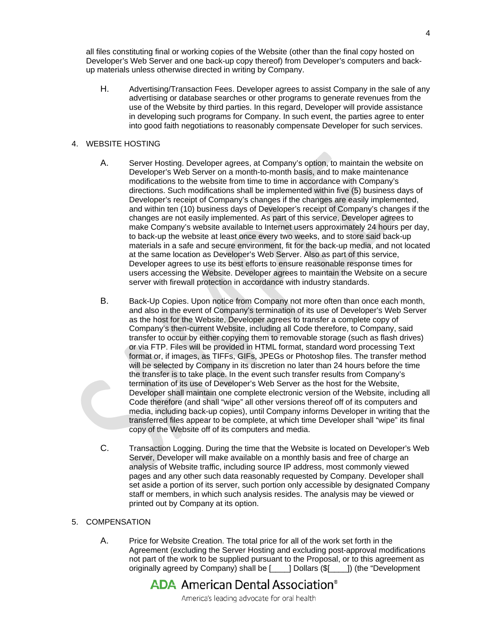all files constituting final or working copies of the Website (other than the final copy hosted on Developer's Web Server and one back-up copy thereof) from Developer's computers and backup materials unless otherwise directed in writing by Company.

H. Advertising/Transaction Fees. Developer agrees to assist Company in the sale of any advertising or database searches or other programs to generate revenues from the use of the Website by third parties. In this regard, Developer will provide assistance in developing such programs for Company. In such event, the parties agree to enter into good faith negotiations to reasonably compensate Developer for such services.

#### 4. WEBSITE HOSTING

- A. Server Hosting. Developer agrees, at Company's option, to maintain the website on Developer's Web Server on a month-to-month basis, and to make maintenance modifications to the website from time to time in accordance with Company's directions. Such modifications shall be implemented within five (5) business days of Developer's receipt of Company's changes if the changes are easily implemented, and within ten (10) business days of Developer's receipt of Company's changes if the changes are not easily implemented. As part of this service, Developer agrees to make Company's website available to Internet users approximately 24 hours per day, to back-up the website at least once every two weeks, and to store said back-up materials in a safe and secure environment, fit for the back-up media, and not located at the same location as Developer's Web Server. Also as part of this service, Developer agrees to use its best efforts to ensure reasonable response times for users accessing the Website. Developer agrees to maintain the Website on a secure server with firewall protection in accordance with industry standards.
- B. Back-Up Copies. Upon notice from Company not more often than once each month, and also in the event of Company's termination of its use of Developer's Web Server as the host for the Website, Developer agrees to transfer a complete copy of Company's then-current Website, including all Code therefore, to Company, said transfer to occur by either copying them to removable storage (such as flash drives) or via FTP. Files will be provided in HTML format, standard word processing Text format or, if images, as TIFFs, GIFs, JPEGs or Photoshop files. The transfer method will be selected by Company in its discretion no later than 24 hours before the time the transfer is to take place. In the event such transfer results from Company's termination of its use of Developer's Web Server as the host for the Website, Developer shall maintain one complete electronic version of the Website, including all Code therefore (and shall "wipe" all other versions thereof off of its computers and media, including back-up copies), until Company informs Developer in writing that the transferred files appear to be complete, at which time Developer shall "wipe" its final copy of the Website off of its computers and media.
- C. Transaction Logging. During the time that the Website is located on Developer's Web Server, Developer will make available on a monthly basis and free of charge an analysis of Website traffic, including source IP address, most commonly viewed pages and any other such data reasonably requested by Company. Developer shall set aside a portion of its server, such portion only accessible by designated Company staff or members, in which such analysis resides. The analysis may be viewed or printed out by Company at its option.

### 5. COMPENSATION

A. Price for Website Creation. The total price for all of the work set forth in the Agreement (excluding the Server Hosting and excluding post-approval modifications not part of the work to be supplied pursuant to the Proposal, or to this agreement as originally agreed by Company) shall be [\_\_\_\_] Dollars (\$[\_\_\_\_]) (the "Development

# **ADA** American Dental Association<sup>®</sup>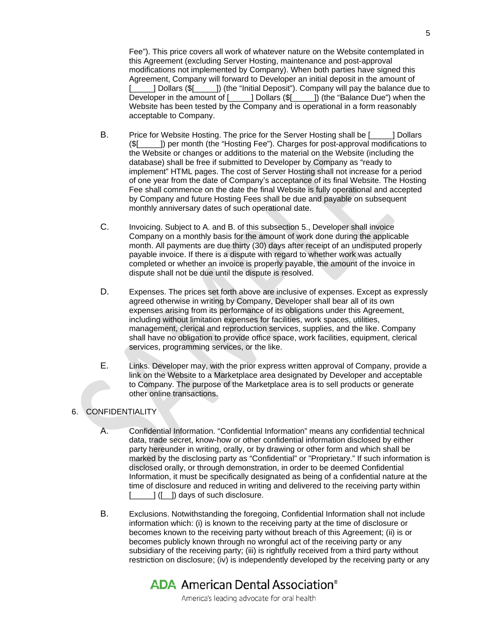Fee"). This price covers all work of whatever nature on the Website contemplated in this Agreement (excluding Server Hosting, maintenance and post-approval modifications not implemented by Company). When both parties have signed this Agreement, Company will forward to Developer an initial deposit in the amount of [1132] Dollars (\$[1322]) (the "Initial Deposit"). Company will pay the balance due to Developer in the amount of [1322] Dollars (\$[13222333) (the "Balance Due") when the Developer in the amount of [\_\_\_\_\_] Dollars (\$[\_\_\_\_\_]) (the "Balance Due") when the Website has been tested by the Company and is operational in a form reasonably acceptable to Company.

- B. Price for Website Hosting. The price for the Server Hosting shall be [\_\_\_\_\_] Dollars [1]) per month (the "Hosting Fee"). Charges for post-approval modifications to the Website or changes or additions to the material on the Website (including the database) shall be free if submitted to Developer by Company as "ready to implement" HTML pages. The cost of Server Hosting shall not increase for a period of one year from the date of Company's acceptance of its final Website. The Hosting Fee shall commence on the date the final Website is fully operational and accepted by Company and future Hosting Fees shall be due and payable on subsequent monthly anniversary dates of such operational date.
- C. Invoicing. Subject to A. and B. of this subsection 5., Developer shall invoice Company on a monthly basis for the amount of work done during the applicable month. All payments are due thirty (30) days after receipt of an undisputed properly payable invoice. If there is a dispute with regard to whether work was actually completed or whether an invoice is properly payable, the amount of the invoice in dispute shall not be due until the dispute is resolved.
- D. Expenses. The prices set forth above are inclusive of expenses. Except as expressly agreed otherwise in writing by Company, Developer shall bear all of its own expenses arising from its performance of its obligations under this Agreement, including without limitation expenses for facilities, work spaces, utilities, management, clerical and reproduction services, supplies, and the like. Company shall have no obligation to provide office space, work facilities, equipment, clerical services, programming services, or the like.
- E. Links. Developer may, with the prior express written approval of Company, provide a link on the Website to a Marketplace area designated by Developer and acceptable to Company. The purpose of the Marketplace area is to sell products or generate other online transactions.

## 6. CONFIDENTIALITY

- A. Confidential Information. "Confidential Information" means any confidential technical data, trade secret, know-how or other confidential information disclosed by either party hereunder in writing, orally, or by drawing or other form and which shall be marked by the disclosing party as "Confidential" or "Proprietary." If such information is disclosed orally, or through demonstration, in order to be deemed Confidential Information, it must be specifically designated as being of a confidential nature at the time of disclosure and reduced in writing and delivered to the receiving party within  $\begin{bmatrix} \end{bmatrix}$  ( $\begin{bmatrix} \end{bmatrix}$ ) days of such disclosure.
- B. Exclusions. Notwithstanding the foregoing, Confidential Information shall not include information which: (i) is known to the receiving party at the time of disclosure or becomes known to the receiving party without breach of this Agreement; (ii) is or becomes publicly known through no wrongful act of the receiving party or any subsidiary of the receiving party; (iii) is rightfully received from a third party without restriction on disclosure; (iv) is independently developed by the receiving party or any

# **ADA** American Dental Association<sup>®</sup>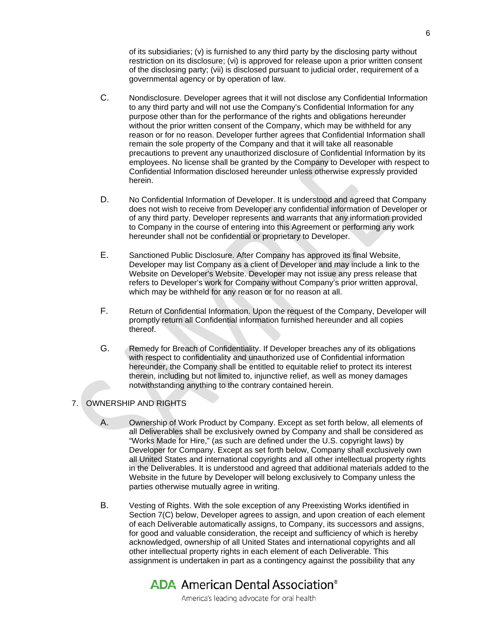of its subsidiaries; (v) is furnished to any third party by the disclosing party without restriction on its disclosure; (vi) is approved for release upon a prior written consent of the disclosing party; (vii) is disclosed pursuant to judicial order, requirement of a governmental agency or by operation of law.

- C. Nondisclosure. Developer agrees that it will not disclose any Confidential Information to any third party and will not use the Company's Confidential Information for any purpose other than for the performance of the rights and obligations hereunder without the prior written consent of the Company, which may be withheld for any reason or for no reason. Developer further agrees that Confidential Information shall remain the sole property of the Company and that it will take all reasonable precautions to prevent any unauthorized disclosure of Confidential Information by its employees. No license shall be granted by the Company to Developer with respect to Confidential Information disclosed hereunder unless otherwise expressly provided herein.
- D. No Confidential Information of Developer. It is understood and agreed that Company does not wish to receive from Developer any confidential information of Developer or of any third party. Developer represents and warrants that any information provided to Company in the course of entering into this Agreement or performing any work hereunder shall not be confidential or proprietary to Developer.
- E. Sanctioned Public Disclosure. After Company has approved its final Website, Developer may list Company as a client of Developer and may include a link to the Website on Developer's Website. Developer may not issue any press release that refers to Developer's work for Company without Company's prior written approval, which may be withheld for any reason or for no reason at all.
- F. Return of Confidential Information. Upon the request of the Company, Developer will promptly return all Confidential information furnished hereunder and all copies thereof.
- G. Remedy for Breach of Confidentiality. If Developer breaches any of its obligations with respect to confidentiality and unauthorized use of Confidential information hereunder, the Company shall be entitled to equitable relief to protect its interest therein, including but not limited to, injunctive relief, as well as money damages notwithstanding anything to the contrary contained herein.

#### 7. OWNERSHIP AND RIGHTS

- A. Ownership of Work Product by Company. Except as set forth below, all elements of all Deliverables shall be exclusively owned by Company and shall be considered as "Works Made for Hire," (as such are defined under the U.S. copyright laws) by Developer for Company. Except as set forth below, Company shall exclusively own all United States and international copyrights and all other intellectual property rights in the Deliverables. It is understood and agreed that additional materials added to the Website in the future by Developer will belong exclusively to Company unless the parties otherwise mutually agree in writing.
- B. Vesting of Rights. With the sole exception of any Preexisting Works identified in Section 7(C) below, Developer agrees to assign, and upon creation of each element of each Deliverable automatically assigns, to Company, its successors and assigns, for good and valuable consideration, the receipt and sufficiency of which is hereby acknowledged, ownership of all United States and international copyrights and all other intellectual property rights in each element of each Deliverable. This assignment is undertaken in part as a contingency against the possibility that any

# **ADA** American Dental Association<sup>®</sup>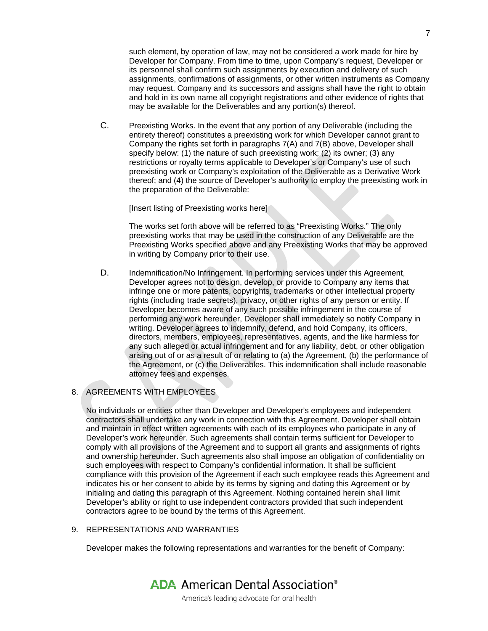such element, by operation of law, may not be considered a work made for hire by Developer for Company. From time to time, upon Company's request, Developer or its personnel shall confirm such assignments by execution and delivery of such assignments, confirmations of assignments, or other written instruments as Company may request. Company and its successors and assigns shall have the right to obtain and hold in its own name all copyright registrations and other evidence of rights that may be available for the Deliverables and any portion(s) thereof.

C. Preexisting Works. In the event that any portion of any Deliverable (including the entirety thereof) constitutes a preexisting work for which Developer cannot grant to Company the rights set forth in paragraphs 7(A) and 7(B) above, Developer shall specify below: (1) the nature of such preexisting work; (2) its owner; (3) any restrictions or royalty terms applicable to Developer's or Company's use of such preexisting work or Company's exploitation of the Deliverable as a Derivative Work thereof; and (4) the source of Developer's authority to employ the preexisting work in the preparation of the Deliverable:

[Insert listing of Preexisting works here]

The works set forth above will be referred to as "Preexisting Works." The only preexisting works that may be used in the construction of any Deliverable are the Preexisting Works specified above and any Preexisting Works that may be approved in writing by Company prior to their use.

D. Indemnification/No Infringement. In performing services under this Agreement, Developer agrees not to design, develop, or provide to Company any items that infringe one or more patents, copyrights, trademarks or other intellectual property rights (including trade secrets), privacy, or other rights of any person or entity. If Developer becomes aware of any such possible infringement in the course of performing any work hereunder, Developer shall immediately so notify Company in writing. Developer agrees to indemnify, defend, and hold Company, its officers, directors, members, employees, representatives, agents, and the like harmless for any such alleged or actual infringement and for any liability, debt, or other obligation arising out of or as a result of or relating to (a) the Agreement, (b) the performance of the Agreement, or (c) the Deliverables. This indemnification shall include reasonable attorney fees and expenses.

### 8. AGREEMENTS WITH EMPLOYEES

No individuals or entities other than Developer and Developer's employees and independent contractors shall undertake any work in connection with this Agreement. Developer shall obtain and maintain in effect written agreements with each of its employees who participate in any of Developer's work hereunder. Such agreements shall contain terms sufficient for Developer to comply with all provisions of the Agreement and to support all grants and assignments of rights and ownership hereunder. Such agreements also shall impose an obligation of confidentiality on such employees with respect to Company's confidential information. It shall be sufficient compliance with this provision of the Agreement if each such employee reads this Agreement and indicates his or her consent to abide by its terms by signing and dating this Agreement or by initialing and dating this paragraph of this Agreement. Nothing contained herein shall limit Developer's ability or right to use independent contractors provided that such independent contractors agree to be bound by the terms of this Agreement.

#### 9. REPRESENTATIONS AND WARRANTIES

Developer makes the following representations and warranties for the benefit of Company: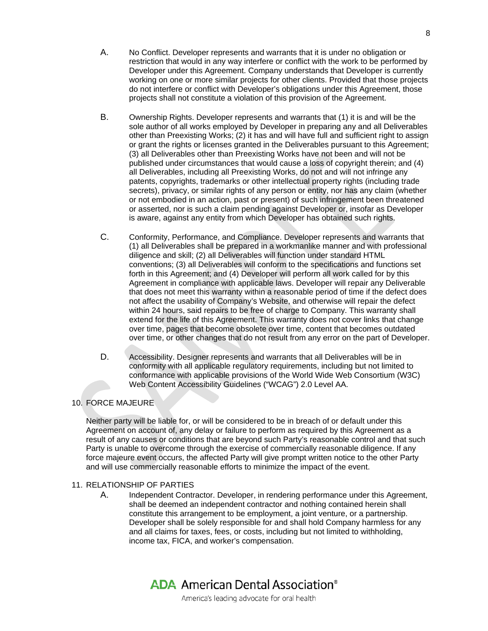- A. No Conflict. Developer represents and warrants that it is under no obligation or restriction that would in any way interfere or conflict with the work to be performed by Developer under this Agreement. Company understands that Developer is currently working on one or more similar projects for other clients. Provided that those projects do not interfere or conflict with Developer's obligations under this Agreement, those projects shall not constitute a violation of this provision of the Agreement.
- B. Ownership Rights. Developer represents and warrants that (1) it is and will be the sole author of all works employed by Developer in preparing any and all Deliverables other than Preexisting Works; (2) it has and will have full and sufficient right to assign or grant the rights or licenses granted in the Deliverables pursuant to this Agreement; (3) all Deliverables other than Preexisting Works have not been and will not be published under circumstances that would cause a loss of copyright therein; and (4) all Deliverables, including all Preexisting Works, do not and will not infringe any patents, copyrights, trademarks or other intellectual property rights (including trade secrets), privacy, or similar rights of any person or entity, nor has any claim (whether or not embodied in an action, past or present) of such infringement been threatened or asserted, nor is such a claim pending against Developer or, insofar as Developer is aware, against any entity from which Developer has obtained such rights.
- C. Conformity, Performance, and Compliance. Developer represents and warrants that (1) all Deliverables shall be prepared in a workmanlike manner and with professional diligence and skill; (2) all Deliverables will function under standard HTML conventions; (3) all Deliverables will conform to the specifications and functions set forth in this Agreement; and (4) Developer will perform all work called for by this Agreement in compliance with applicable laws. Developer will repair any Deliverable that does not meet this warranty within a reasonable period of time if the defect does not affect the usability of Company's Website, and otherwise will repair the defect within 24 hours, said repairs to be free of charge to Company. This warranty shall extend for the life of this Agreement. This warranty does not cover links that change over time, pages that become obsolete over time, content that becomes outdated over time, or other changes that do not result from any error on the part of Developer.
- D. Accessibility. Designer represents and warrants that all Deliverables will be in conformity with all applicable regulatory requirements, including but not limited to conformance with applicable provisions of the World Wide Web Consortium (W3C) Web Content Accessibility Guidelines ("WCAG") 2.0 Level AA.

# 10. FORCE MAJEURE

Neither party will be liable for, or will be considered to be in breach of or default under this Agreement on account of, any delay or failure to perform as required by this Agreement as a result of any causes or conditions that are beyond such Party's reasonable control and that such Party is unable to overcome through the exercise of commercially reasonable diligence. If any force majeure event occurs, the affected Party will give prompt written notice to the other Party and will use commercially reasonable efforts to minimize the impact of the event.

#### 11. RELATIONSHIP OF PARTIES

A. Independent Contractor. Developer, in rendering performance under this Agreement, shall be deemed an independent contractor and nothing contained herein shall constitute this arrangement to be employment, a joint venture, or a partnership. Developer shall be solely responsible for and shall hold Company harmless for any and all claims for taxes, fees, or costs, including but not limited to withholding, income tax, FICA, and worker's compensation.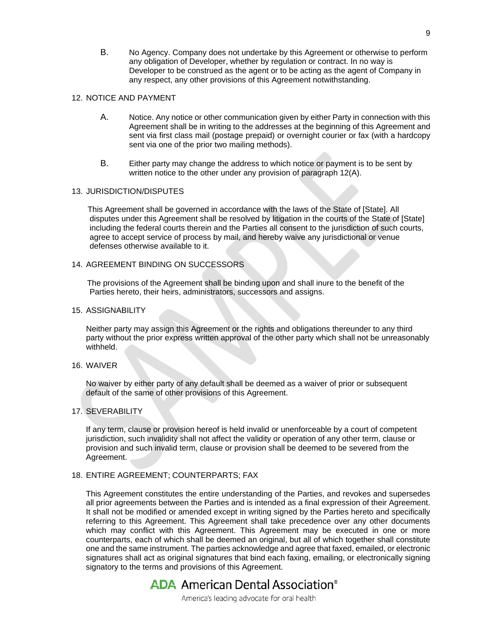B. No Agency. Company does not undertake by this Agreement or otherwise to perform any obligation of Developer, whether by regulation or contract. In no way is Developer to be construed as the agent or to be acting as the agent of Company in any respect, any other provisions of this Agreement notwithstanding.

### 12. NOTICE AND PAYMENT

- A. Notice. Any notice or other communication given by either Party in connection with this Agreement shall be in writing to the addresses at the beginning of this Agreement and sent via first class mail (postage prepaid) or overnight courier or fax (with a hardcopy sent via one of the prior two mailing methods).
- B. Either party may change the address to which notice or payment is to be sent by written notice to the other under any provision of paragraph 12(A).

#### 13. JURISDICTION/DISPUTES

 This Agreement shall be governed in accordance with the laws of the State of [State]. All disputes under this Agreement shall be resolved by litigation in the courts of the State of [State] including the federal courts therein and the Parties all consent to the jurisdiction of such courts, agree to accept service of process by mail, and hereby waive any jurisdictional or venue defenses otherwise available to it.

### 14. AGREEMENT BINDING ON SUCCESSORS

 The provisions of the Agreement shall be binding upon and shall inure to the benefit of the Parties hereto, their heirs, administrators, successors and assigns.

#### 15. ASSIGNABILITY

Neither party may assign this Agreement or the rights and obligations thereunder to any third party without the prior express written approval of the other party which shall not be unreasonably withheld.

#### 16. WAIVER

No waiver by either party of any default shall be deemed as a waiver of prior or subsequent default of the same of other provisions of this Agreement.

#### 17. SEVERABILITY

If any term, clause or provision hereof is held invalid or unenforceable by a court of competent jurisdiction, such invalidity shall not affect the validity or operation of any other term, clause or provision and such invalid term, clause or provision shall be deemed to be severed from the Agreement.

#### 18. ENTIRE AGREEMENT; COUNTERPARTS; FAX

This Agreement constitutes the entire understanding of the Parties, and revokes and supersedes all prior agreements between the Parties and is intended as a final expression of their Agreement. It shall not be modified or amended except in writing signed by the Parties hereto and specifically referring to this Agreement. This Agreement shall take precedence over any other documents which may conflict with this Agreement. This Agreement may be executed in one or more counterparts, each of which shall be deemed an original, but all of which together shall constitute one and the same instrument. The parties acknowledge and agree that faxed, emailed, or electronic signatures shall act as original signatures that bind each faxing, emailing, or electronically signing signatory to the terms and provisions of this Agreement.

# **ADA** American Dental Association<sup>®</sup>